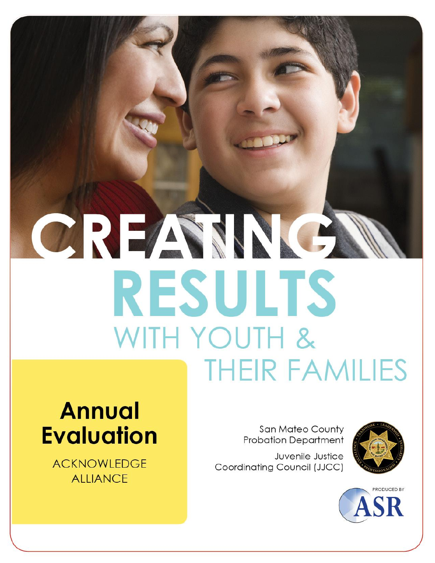# CREAMNE RESULTS WITH YOUTH & **THEIR FAMILIES**

## **Annual Evaluation**

**ACKNOWLEDGE ALLIANCE** 

**San Mateo County Probation Department** 

Juvenile Justice Coordinating Council (JJCC)



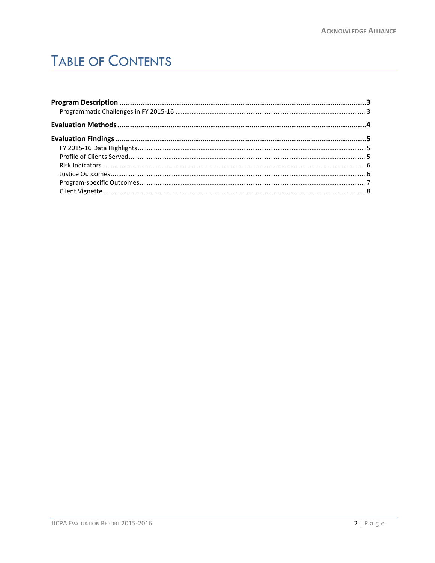## **TABLE OF CONTENTS**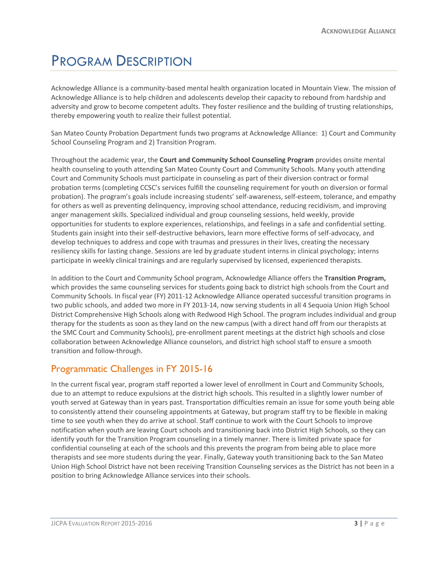## <span id="page-2-0"></span>PROGRAM DESCRIPTION

Acknowledge Alliance is a community-based mental health organization located in Mountain View. The mission of Acknowledge Alliance is to help children and adolescents develop their capacity to rebound from hardship and adversity and grow to become competent adults. They foster resilience and the building of trusting relationships, thereby empowering youth to realize their fullest potential.

San Mateo County Probation Department funds two programs at Acknowledge Alliance: 1) Court and Community School Counseling Program and 2) Transition Program.

Throughout the academic year, the **Court and Community School Counseling Program** provides onsite mental health counseling to youth attending San Mateo County Court and Community Schools. Many youth attending Court and Community Schools must participate in counseling as part of their diversion contract or formal probation terms (completing CCSC's services fulfill the counseling requirement for youth on diversion or formal probation). The program's goals include increasing students' self-awareness, self-esteem, tolerance, and empathy for others as well as preventing delinquency, improving school attendance, reducing recidivism, and improving anger management skills. Specialized individual and group counseling sessions, held weekly, provide opportunities for students to explore experiences, relationships, and feelings in a safe and confidential setting. Students gain insight into their self-destructive behaviors, learn more effective forms of self-advocacy, and develop techniques to address and cope with traumas and pressures in their lives, creating the necessary resiliency skills for lasting change. Sessions are led by graduate student interns in clinical psychology; interns participate in weekly clinical trainings and are regularly supervised by licensed, experienced therapists.

In addition to the Court and Community School program, Acknowledge Alliance offers the **Transition Program,** which provides the same counseling services for students going back to district high schools from the Court and Community Schools. In fiscal year (FY) 2011-12 Acknowledge Alliance operated successful transition programs in two public schools, and added two more in FY 2013-14, now serving students in all 4 Sequoia Union High School District Comprehensive High Schools along with Redwood High School. The program includes individual and group therapy for the students as soon as they land on the new campus (with a direct hand off from our therapists at the SMC Court and Community Schools), pre-enrollment parent meetings at the district high schools and close collaboration between Acknowledge Alliance counselors, and district high school staff to ensure a smooth transition and follow-through.

#### <span id="page-2-1"></span>Programmatic Challenges in FY 2015-16

In the current fiscal year, program staff reported a lower level of enrollment in Court and Community Schools, due to an attempt to reduce expulsions at the district high schools. This resulted in a slightly lower number of youth served at Gateway than in years past. Transportation difficulties remain an issue for some youth being able to consistently attend their counseling appointments at Gateway, but program staff try to be flexible in making time to see youth when they do arrive at school. Staff continue to work with the Court Schools to improve notification when youth are leaving Court schools and transitioning back into District High Schools, so they can identify youth for the Transition Program counseling in a timely manner. There is limited private space for confidential counseling at each of the schools and this prevents the program from being able to place more therapists and see more students during the year. Finally, Gateway youth transitioning back to the San Mateo Union High School District have not been receiving Transition Counseling services as the District has not been in a position to bring Acknowledge Alliance services into their schools.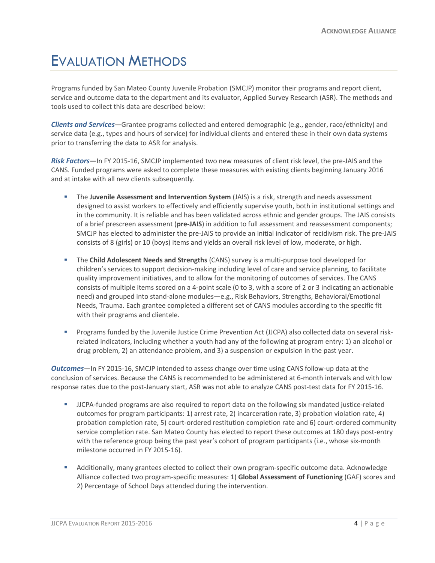### <span id="page-3-0"></span>EVALUATION METHODS

Programs funded by San Mateo County Juvenile Probation (SMCJP) monitor their programs and report client, service and outcome data to the department and its evaluator, Applied Survey Research (ASR). The methods and tools used to collect this data are described below:

*Clients and Services*—Grantee programs collected and entered demographic (e.g., gender, race/ethnicity) and service data (e.g., types and hours of service) for individual clients and entered these in their own data systems prior to transferring the data to ASR for analysis.

*Risk Factors***—**In FY 2015-16, SMCJP implemented two new measures of client risk level, the pre-JAIS and the CANS. Funded programs were asked to complete these measures with existing clients beginning January 2016 and at intake with all new clients subsequently.

- The **Juvenile Assessment and Intervention System** (JAIS) is a risk, strength and needs assessment designed to assist workers to effectively and efficiently supervise youth, both in institutional settings and in the community. It is reliable and has been validated across ethnic and gender groups. The JAIS consists of a brief prescreen assessment (**pre-JAIS**) in addition to full assessment and reassessment components; SMCJP has elected to administer the pre-JAIS to provide an initial indicator of recidivism risk. The pre-JAIS consists of 8 (girls) or 10 (boys) items and yields an overall risk level of low, moderate, or high.
- The **Child Adolescent Needs and Strengths** (CANS) survey is a multi-purpose tool developed for children's services to support decision-making including level of care and service planning, to facilitate quality improvement initiatives, and to allow for the monitoring of outcomes of services. The CANS consists of multiple items scored on a 4-point scale (0 to 3, with a score of 2 or 3 indicating an actionable need) and grouped into stand-alone modules—e.g., Risk Behaviors, Strengths, Behavioral/Emotional Needs, Trauma. Each grantee completed a different set of CANS modules according to the specific fit with their programs and clientele.
- Programs funded by the Juvenile Justice Crime Prevention Act (JJCPA) also collected data on several riskrelated indicators, including whether a youth had any of the following at program entry: 1) an alcohol or drug problem, 2) an attendance problem, and 3) a suspension or expulsion in the past year.

*Outcomes*—In FY 2015-16, SMCJP intended to assess change over time using CANS follow-up data at the conclusion of services. Because the CANS is recommended to be administered at 6-month intervals and with low response rates due to the post-January start, ASR was not able to analyze CANS post-test data for FY 2015-16.

- JJCPA-funded programs are also required to report data on the following six mandated justice-related outcomes for program participants: 1) arrest rate, 2) incarceration rate, 3) probation violation rate, 4) probation completion rate, 5) court-ordered restitution completion rate and 6) court-ordered community service completion rate. San Mateo County has elected to report these outcomes at 180 days post-entry with the reference group being the past year's cohort of program participants (i.e., whose six-month milestone occurred in FY 2015-16).
- Additionally, many grantees elected to collect their own program-specific outcome data. Acknowledge Alliance collected two program-specific measures: 1) **Global Assessment of Functioning** (GAF) scores and 2) Percentage of School Days attended during the intervention.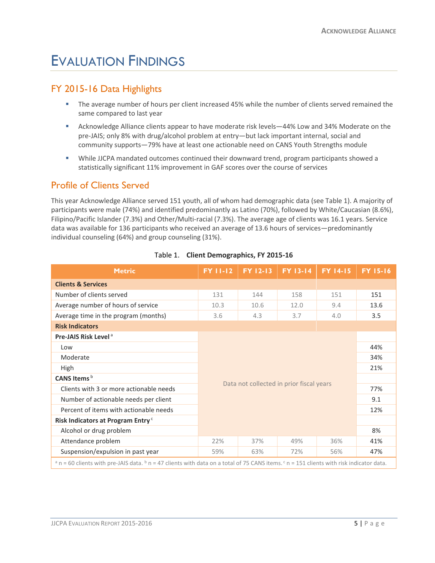## <span id="page-4-0"></span>EVALUATION FINDINGS

#### <span id="page-4-1"></span>FY 2015-16 Data Highlights

- **The average number of hours per client increased 45% while the number of clients served remained the** same compared to last year
- Acknowledge Alliance clients appear to have moderate risk levels—44% Low and 34% Moderate on the pre-JAIS; only 8% with drug/alcohol problem at entry—but lack important internal, social and community supports—79% have at least one actionable need on CANS Youth Strengths module
- While JJCPA mandated outcomes continued their downward trend, program participants showed a statistically significant 11% improvement in GAF scores over the course of services

#### <span id="page-4-2"></span>Profile of Clients Served

This year Acknowledge Alliance served 151 youth, all of whom had demographic data (see Table 1). A majority of participants were male (74%) and identified predominantly as Latino (70%), followed by White/Caucasian (8.6%), Filipino/Pacific Islander (7.3%) and Other/Multi-racial (7.3%). The average age of clients was 16.1 years. Service data was available for 136 participants who received an average of 13.6 hours of services—predominantly individual counseling (64%) and group counseling (31%).

| <b>Metric</b>                                 | <b>FY 11-12</b>                          | FY 12-13 | <b>FY 13-14</b> | <b>FY 14-15</b> | <b>FY 15-16</b> |
|-----------------------------------------------|------------------------------------------|----------|-----------------|-----------------|-----------------|
| <b>Clients &amp; Services</b>                 |                                          |          |                 |                 |                 |
| Number of clients served                      | 131                                      | 144      | 158             | 151             | 151             |
| Average number of hours of service            | 10.3                                     | 10.6     | 12.0            | 9.4             | 13.6            |
| Average time in the program (months)          | 3.6                                      | 4.3      | 3.7             | 4.0             | 3.5             |
| <b>Risk Indicators</b>                        |                                          |          |                 |                 |                 |
| Pre-JAIS Risk Level <sup>a</sup>              |                                          |          |                 |                 |                 |
| Low                                           |                                          |          |                 |                 |                 |
| Moderate                                      | Data not collected in prior fiscal years |          |                 | 34%             |                 |
| High                                          |                                          |          |                 |                 | 21%             |
| CANS Items <sup>b</sup>                       |                                          |          |                 |                 |                 |
| Clients with 3 or more actionable needs       |                                          |          |                 | 77%             |                 |
| Number of actionable needs per client         |                                          |          |                 |                 | 9.1             |
| Percent of items with actionable needs        |                                          |          |                 |                 | 12%             |
| Risk Indicators at Program Entry <sup>c</sup> |                                          |          |                 |                 |                 |
| Alcohol or drug problem                       |                                          |          |                 | 8%              |                 |
| Attendance problem                            | 22%                                      | 37%      | 49%             | 36%             | 41%             |
| Suspension/expulsion in past year             | 59%                                      | 63%      | 72%             | 56%             | 47%             |
|                                               |                                          |          |                 |                 |                 |

#### Table 1. **Client Demographics, FY 2015-16**

<span id="page-4-3"></span> $a$  n = 60 clients with pre-JAIS data.  $b$  n = 47 clients with data on a total of 75 CANS items.  $c$  n = 151 clients with risk indicator data.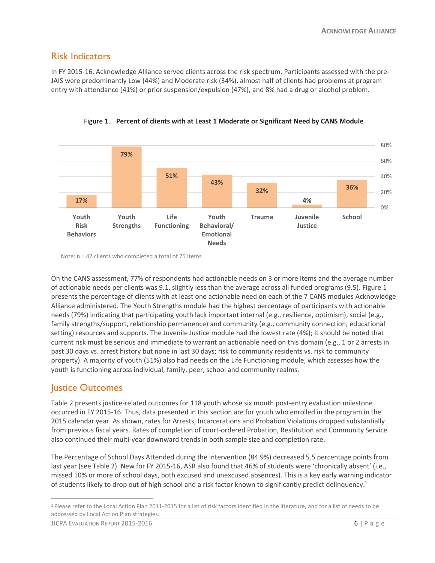#### Risk Indicators

In FY 2015-16, Acknowledge Alliance served clients across the risk spectrum. Participants assessed with the pre-JAIS were predominantly Low (44%) and Moderate risk (34%), almost half of clients had problems at program entry with attendance (41%) or prior suspension/expulsion (47%), and 8% had a drug or alcohol problem.



Figure 1. **Percent of clients with at Least 1 Moderate or Significant Need by CANS Module**

Note: n = 47 clients who completed a total of 75 items

On the CANS assessment, 77% of respondents had actionable needs on 3 or more items and the average number of actionable needs per clients was 9.1, slightly less than the average across all funded programs (9.5). Figure 1 presents the percentage of clients with at least one actionable need on each of the 7 CANS modules Acknowledge Alliance administered. The Youth Strengths module had the highest percentage of participants with actionable needs (79%) indicating that participating youth lack important internal (e.g., resilience, optimism), social (e.g., family strengths/support, relationship permanence) and community (e.g., community connection, educational setting) resources and supports. The Juvenile Justice module had the lowest rate (4%); it should be noted that current risk must be serious and immediate to warrant an actionable need on this domain (e.g., 1 or 2 arrests in past 30 days vs. arrest history but none in last 30 days; risk to community residents vs. risk to community property). A majority of youth (51%) also had needs on the Life Functioning module, which assesses how the youth is functioning across individual, family, peer, school and community realms.

#### <span id="page-5-0"></span>Justice Outcomes

Table 2 presents justice-related outcomes for 118 youth whose six month post-entry evaluation milestone occurred in FY 2015-16. Thus, data presented in this section are for youth who enrolled in the program in the 2015 calendar year. As shown, rates for Arrests, Incarcerations and Probation Violations dropped substantially from previous fiscal years. Rates of completion of court-ordered Probation, Restitution and Community Service also continued their multi-year downward trends in both sample size and completion rate.

The Percentage of School Days Attended during the intervention (84.9%) decreased 5.5 percentage points from last year (see Table 2). New for FY 2015-16, ASR also found that 46% of students were 'chronically absent' (i.e., missed 10% or more of school days, both excused and unexcused absences). This is a key early warning indicator of students likely to drop out of high school and a risk factor known to significantly predict delinquency.<sup>1</sup>

 $\overline{a}$ 

<sup>&</sup>lt;sup>1</sup> Please refer to the Local Action Plan 2011-2015 for a list of risk factors identified in the literature, and for a list of needs to be addressed by Local Action Plan strategies.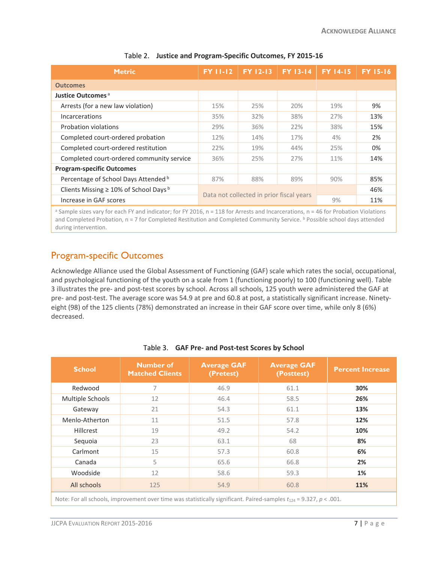| <b>Metric</b>                                | <b>FY 11-12</b>                          | FY 12-13 | <b>FY 13-14</b> | <b>FY 14-15</b> | <b>FY 15-16</b> |
|----------------------------------------------|------------------------------------------|----------|-----------------|-----------------|-----------------|
| <b>Outcomes</b>                              |                                          |          |                 |                 |                 |
| Justice Outcomes <sup>a</sup>                |                                          |          |                 |                 |                 |
| Arrests (for a new law violation)            | 15%                                      | 25%      | 20%             | 19%             | 9%              |
| Incarcerations                               | 35%                                      | 32%      | 38%             | 27%             | 13%             |
| <b>Probation violations</b>                  | 29%                                      | 36%      | 22%             | 38%             | 15%             |
| Completed court-ordered probation            | 12%                                      | 14%      | 17%             | 4%              | 2%              |
| Completed court-ordered restitution          | 22%                                      | 19%      | 44%             | 25%             | 0%              |
| Completed court-ordered community service    | 36%                                      | 25%      | 27%             | 11%             | 14%             |
| <b>Program-specific Outcomes</b>             |                                          |          |                 |                 |                 |
| Percentage of School Days Attended b         | 87%                                      | 88%      | 89%             | 90%             | 85%             |
| Clients Missing $\geq 10\%$ of School Days b | Data not collected in prior fiscal years |          |                 |                 | 46%             |
| Increase in GAF scores                       |                                          |          | 9%              | 11%             |                 |

#### Table 2. **Justice and Program-Specific Outcomes, FY 2015-16**

<sup>a</sup> Sample sizes vary for each FY and indicator; for FY 2016, n = 118 for Arrests and Incarcerations, n = 46 for Probation Violations and Completed Probation, n = 7 for Completed Restitution and Completed Community Service. <sup>b</sup> Possible school days attended during intervention.

#### <span id="page-6-0"></span>Program-specific Outcomes

Acknowledge Alliance used the Global Assessment of Functioning (GAF) scale which rates the social, occupational, and psychological functioning of the youth on a scale from 1 (functioning poorly) to 100 (functioning well). Table 3 illustrates the pre- and post-test scores by school. Across all schools, 125 youth were administered the GAF at pre- and post-test. The average score was 54.9 at pre and 60.8 at post, a statistically significant increase. Ninetyeight (98) of the 125 clients (78%) demonstrated an increase in their GAF score over time, while only 8 (6%) decreased.

| <b>School</b>    | <b>Number of</b><br><b>Matched Clients</b> | <b>Average GAF</b><br>(Pretest) | <b>Average GAF</b><br>(Posttest)                                                                                        | <b>Percent Increase</b> |
|------------------|--------------------------------------------|---------------------------------|-------------------------------------------------------------------------------------------------------------------------|-------------------------|
| Redwood          | 7                                          | 46.9                            | 61.1                                                                                                                    | 30%                     |
| Multiple Schools | 12                                         | 46.4                            | 58.5                                                                                                                    | 26%                     |
| Gateway          | 21                                         | 54.3                            | 61.1                                                                                                                    | 13%                     |
| Menlo-Atherton   | 11                                         | 51.5                            | 57.8                                                                                                                    | 12%                     |
| Hillcrest        | 19                                         | 49.2                            | 54.2                                                                                                                    | 10%                     |
| Sequoia          | 23                                         | 63.1                            | 68                                                                                                                      | 8%                      |
| Carlmont         | 15                                         | 57.3                            | 60.8                                                                                                                    | 6%                      |
| Canada           | 5                                          | 65.6                            | 66.8                                                                                                                    | 2%                      |
| Woodside         | 12                                         | 58.6                            | 59.3                                                                                                                    | 1%                      |
| All schools      | 125                                        | 54.9                            | 60.8                                                                                                                    | 11%                     |
|                  |                                            |                                 | Note: For all schools, improvement over time was statistically significant. Paired-samples $t_{124}$ = 9.327, p < .001. |                         |

#### Table 3. **GAF Pre- and Post-test Scores by School**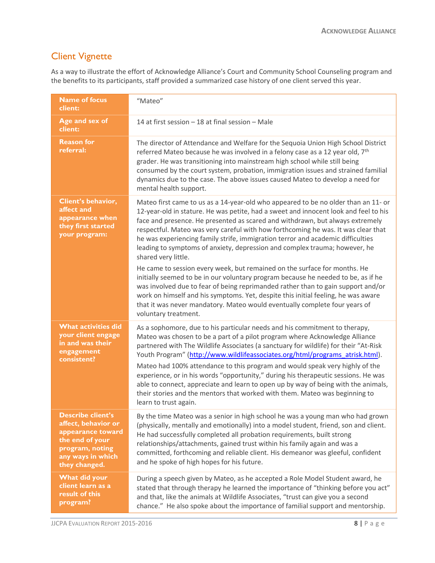#### <span id="page-7-0"></span>Client Vignette

As a way to illustrate the effort of Acknowledge Alliance's Court and Community School Counseling program and the benefits to its participants, staff provided a summarized case history of one client served this year.

| <b>Name of focus</b><br>client:                                                                                                                  | "Mateo"                                                                                                                                                                                                                                                                                                                                                                                                                                                                                                                                                                                                                                                                                                |
|--------------------------------------------------------------------------------------------------------------------------------------------------|--------------------------------------------------------------------------------------------------------------------------------------------------------------------------------------------------------------------------------------------------------------------------------------------------------------------------------------------------------------------------------------------------------------------------------------------------------------------------------------------------------------------------------------------------------------------------------------------------------------------------------------------------------------------------------------------------------|
| Age and sex of<br>client:                                                                                                                        | 14 at first session $-$ 18 at final session $-$ Male                                                                                                                                                                                                                                                                                                                                                                                                                                                                                                                                                                                                                                                   |
| <b>Reason for</b><br>referral:                                                                                                                   | The director of Attendance and Welfare for the Sequoia Union High School District<br>referred Mateo because he was involved in a felony case as a 12 year old, 7 <sup>th</sup><br>grader. He was transitioning into mainstream high school while still being<br>consumed by the court system, probation, immigration issues and strained familial<br>dynamics due to the case. The above issues caused Mateo to develop a need for<br>mental health support.                                                                                                                                                                                                                                           |
| <b>Client's behavior,</b><br>affect and<br>appearance when<br>they first started<br>your program:                                                | Mateo first came to us as a 14-year-old who appeared to be no older than an 11- or<br>12-year-old in stature. He was petite, had a sweet and innocent look and feel to his<br>face and presence. He presented as scared and withdrawn, but always extremely<br>respectful. Mateo was very careful with how forthcoming he was. It was clear that<br>he was experiencing family strife, immigration terror and academic difficulties<br>leading to symptoms of anxiety, depression and complex trauma; however, he<br>shared very little.                                                                                                                                                               |
|                                                                                                                                                  | He came to session every week, but remained on the surface for months. He<br>initially seemed to be in our voluntary program because he needed to be, as if he<br>was involved due to fear of being reprimanded rather than to gain support and/or<br>work on himself and his symptoms. Yet, despite this initial feeling, he was aware<br>that it was never mandatory. Mateo would eventually complete four years of<br>voluntary treatment.                                                                                                                                                                                                                                                          |
| <b>What activities did</b><br>your client engage<br>in and was their<br>engagement<br>consistent?                                                | As a sophomore, due to his particular needs and his commitment to therapy,<br>Mateo was chosen to be a part of a pilot program where Acknowledge Alliance<br>partnered with The Wildlife Associates (a sanctuary for wildlife) for their "At-Risk<br>Youth Program" (http://www.wildlifeassociates.org/html/programs_atrisk.html).<br>Mateo had 100% attendance to this program and would speak very highly of the<br>experience, or in his words "opportunity," during his therapeutic sessions. He was<br>able to connect, appreciate and learn to open up by way of being with the animals,<br>their stories and the mentors that worked with them. Mateo was beginning to<br>learn to trust again. |
| <b>Describe client's</b><br>affect, behavior or<br>appearance toward<br>the end of your<br>program, noting<br>any ways in which<br>they changed. | By the time Mateo was a senior in high school he was a young man who had grown<br>(physically, mentally and emotionally) into a model student, friend, son and client.<br>He had successfully completed all probation requirements, built strong<br>relationships/attachments, gained trust within his family again and was a<br>committed, forthcoming and reliable client. His demeanor was gleeful, confident<br>and he spoke of high hopes for his future.                                                                                                                                                                                                                                         |
| What did your<br>client learn as a<br>result of this<br>program?                                                                                 | During a speech given by Mateo, as he accepted a Role Model Student award, he<br>stated that through therapy he learned the importance of "thinking before you act"<br>and that, like the animals at Wildlife Associates, "trust can give you a second<br>chance." He also spoke about the importance of familial support and mentorship.                                                                                                                                                                                                                                                                                                                                                              |